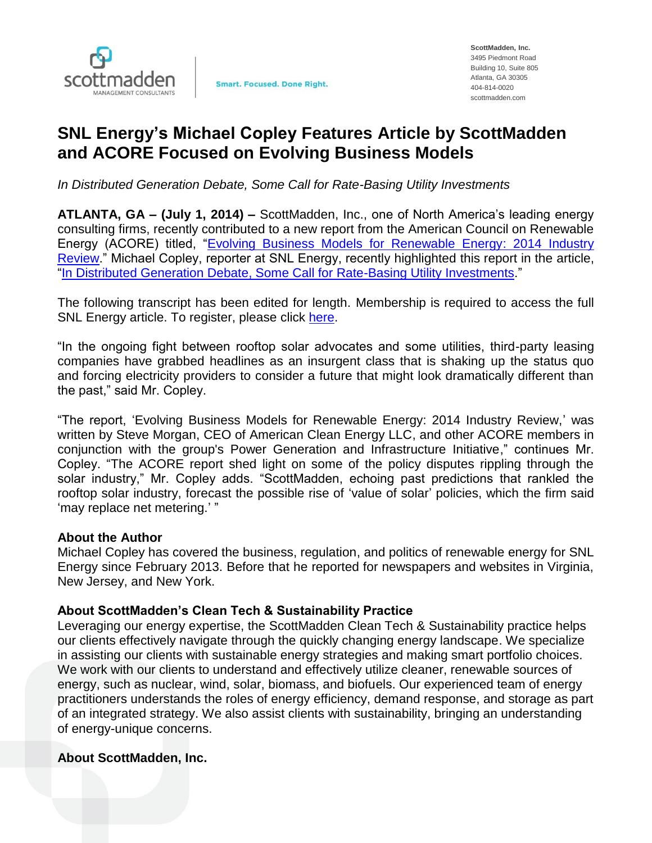

## **SNL Energy's Michael Copley Features Article by ScottMadden and ACORE Focused on Evolving Business Models**

*In Distributed Generation Debate, Some Call for Rate-Basing Utility Investments*

**ATLANTA, GA – (July 1, 2014) –** ScottMadden, Inc., one of North America's leading energy consulting firms, recently contributed to a new report from the American Council on Renewable Energy (ACORE) titled, ["Evolving Business Models for Renewable Energy: 2014 Industry](http://www.acore.org/evolvingmodels)  [Review.](http://www.acore.org/evolvingmodels)" Michael Copley, reporter at SNL Energy, recently highlighted this report in the article, ["In Distributed Generation Debate, Some Call for Rate-Basing Utility Investments.](http://www.snl.com/InteractiveX/Article.aspx?cdid=A-28462572-12331)"

The following transcript has been edited for length. Membership is required to access the full SNL Energy article. To register, please click [here.](https://www.snl.com/Interactivex/default.aspx?Action=freetrial)

"In the ongoing fight between rooftop solar advocates and some utilities, third-party leasing companies have grabbed headlines as an insurgent class that is shaking up the status quo and forcing electricity providers to consider a future that might look dramatically different than the past," said Mr. Copley.

"The report, 'Evolving Business Models for Renewable Energy: 2014 Industry Review,' was written by Steve Morgan, CEO of American Clean Energy LLC, and other ACORE members in conjunction with the group's Power Generation and Infrastructure Initiative," continues Mr. Copley. "The ACORE report shed light on some of the policy disputes rippling through the solar industry," Mr. Copley adds. "ScottMadden, echoing past predictions that rankled the rooftop solar industry, forecast the possible rise of 'value of solar' policies, which the firm said 'may replace net metering.' "

## **About the Author**

Michael Copley has covered the business, regulation, and politics of renewable energy for SNL Energy since February 2013. Before that he reported for newspapers and websites in Virginia, New Jersey, and New York.

## **About ScottMadden's Clean Tech & Sustainability Practice**

Leveraging our energy expertise, the ScottMadden Clean Tech & Sustainability practice helps our clients effectively navigate through the quickly changing energy landscape. We specialize in assisting our clients with sustainable energy strategies and making smart portfolio choices. We work with our clients to understand and effectively utilize cleaner, renewable sources of energy, such as nuclear, wind, solar, biomass, and biofuels. Our experienced team of energy practitioners understands the roles of energy efficiency, demand response, and storage as part of an integrated strategy. We also assist clients with sustainability, bringing an understanding of energy-unique concerns.

## **About ScottMadden, Inc.**